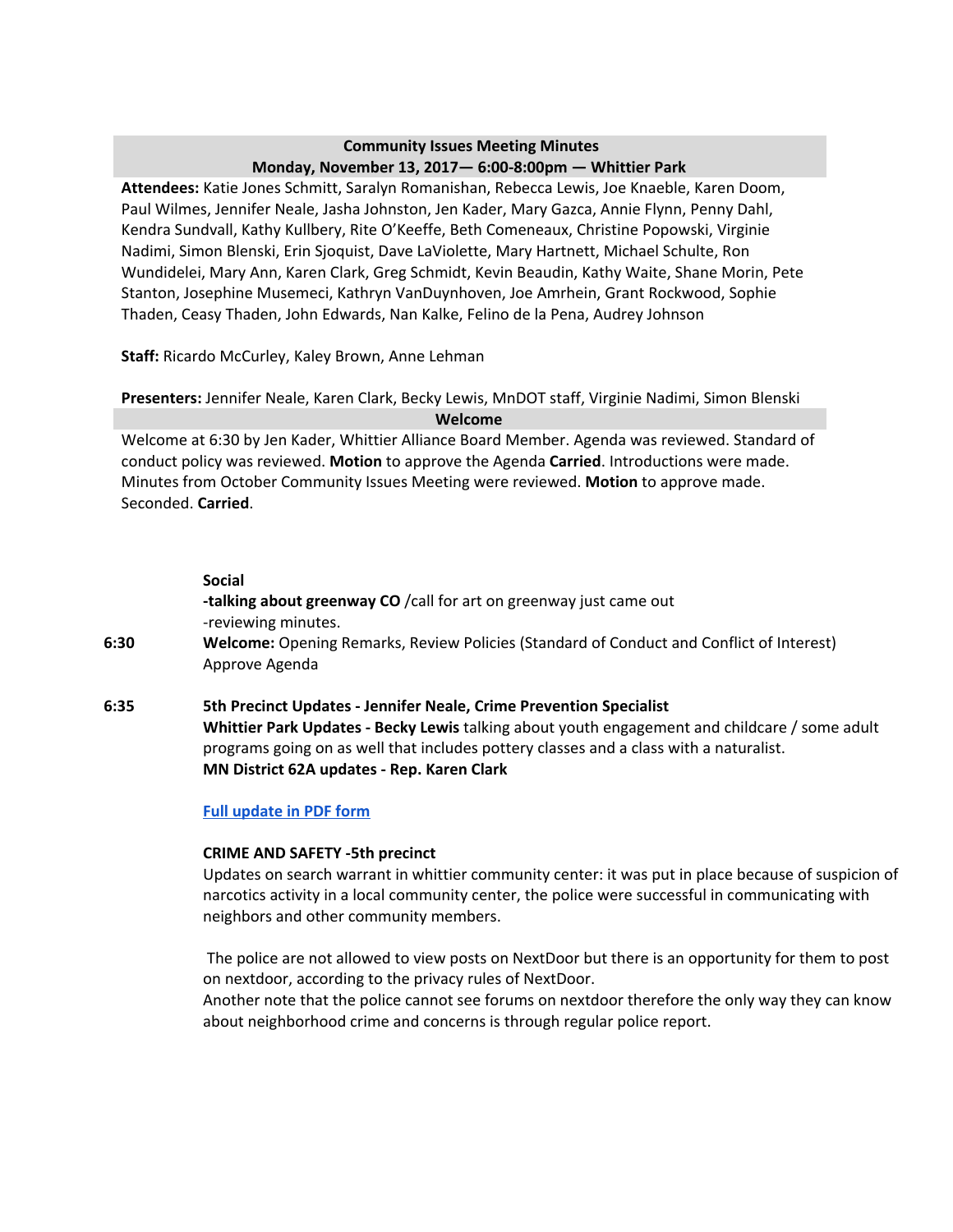# **Community Issues Meeting Minutes Monday, November 13, 2017— 6:00-8:00pm — Whittier Park**

**Attendees:** Katie Jones Schmitt, Saralyn Romanishan, Rebecca Lewis, Joe Knaeble, Karen Doom, Paul Wilmes, Jennifer Neale, Jasha Johnston, Jen Kader, Mary Gazca, Annie Flynn, Penny Dahl, Kendra Sundvall, Kathy Kullbery, Rite O'Keeffe, Beth Comeneaux, Christine Popowski, Virginie Nadimi, Simon Blenski, Erin Sjoquist, Dave LaViolette, Mary Hartnett, Michael Schulte, Ron Wundidelei, Mary Ann, Karen Clark, Greg Schmidt, Kevin Beaudin, Kathy Waite, Shane Morin, Pete Stanton, Josephine Musemeci, Kathryn VanDuynhoven, Joe Amrhein, Grant Rockwood, Sophie Thaden, Ceasy Thaden, John Edwards, Nan Kalke, Felino de la Pena, Audrey Johnson

**Staff:** Ricardo McCurley, Kaley Brown, Anne Lehman

## **Presenters:** Jennifer Neale, Karen Clark, Becky Lewis, MnDOT staff, Virginie Nadimi, Simon Blenski **Welcome**

Welcome at 6:30 by Jen Kader, Whittier Alliance Board Member. Agenda was reviewed. Standard of conduct policy was reviewed. **Motion** to approve the Agenda **Carried**. Introductions were made. Minutes from October Community Issues Meeting were reviewed. **Motion** to approve made. Seconded. **Carried**.

#### **Social**

- **-talking about greenway CO** /call for art on greenway just came out -reviewing minutes.
- **6:30 Welcome:** Opening Remarks, Review Policies (Standard of Conduct and Conflict of Interest) Approve Agenda
- **6:35 5th Precinct Updates - Jennifer Neale, Crime Prevention Specialist Whittier Park Updates - Becky Lewis** talking about youth engagement and childcare / some adult programs going on as well that includes pottery classes and a class with a naturalist. **MN District 62A updates - Rep. Karen Clark**

## **Full [update](https://drive.google.com/drive/u/2/folders/0B7aXl5JHcyXuZTJVOVdtUndPaFk) in PDF form**

## **CRIME AND SAFETY -5th precinct**

Updates on search warrant in whittier community center: it was put in place because of suspicion of narcotics activity in a local community center, the police were successful in communicating with neighbors and other community members.

The police are not allowed to view posts on NextDoor but there is an opportunity for them to post on nextdoor, according to the privacy rules of NextDoor.

Another note that the police cannot see forums on nextdoor therefore the only way they can know about neighborhood crime and concerns is through regular police report.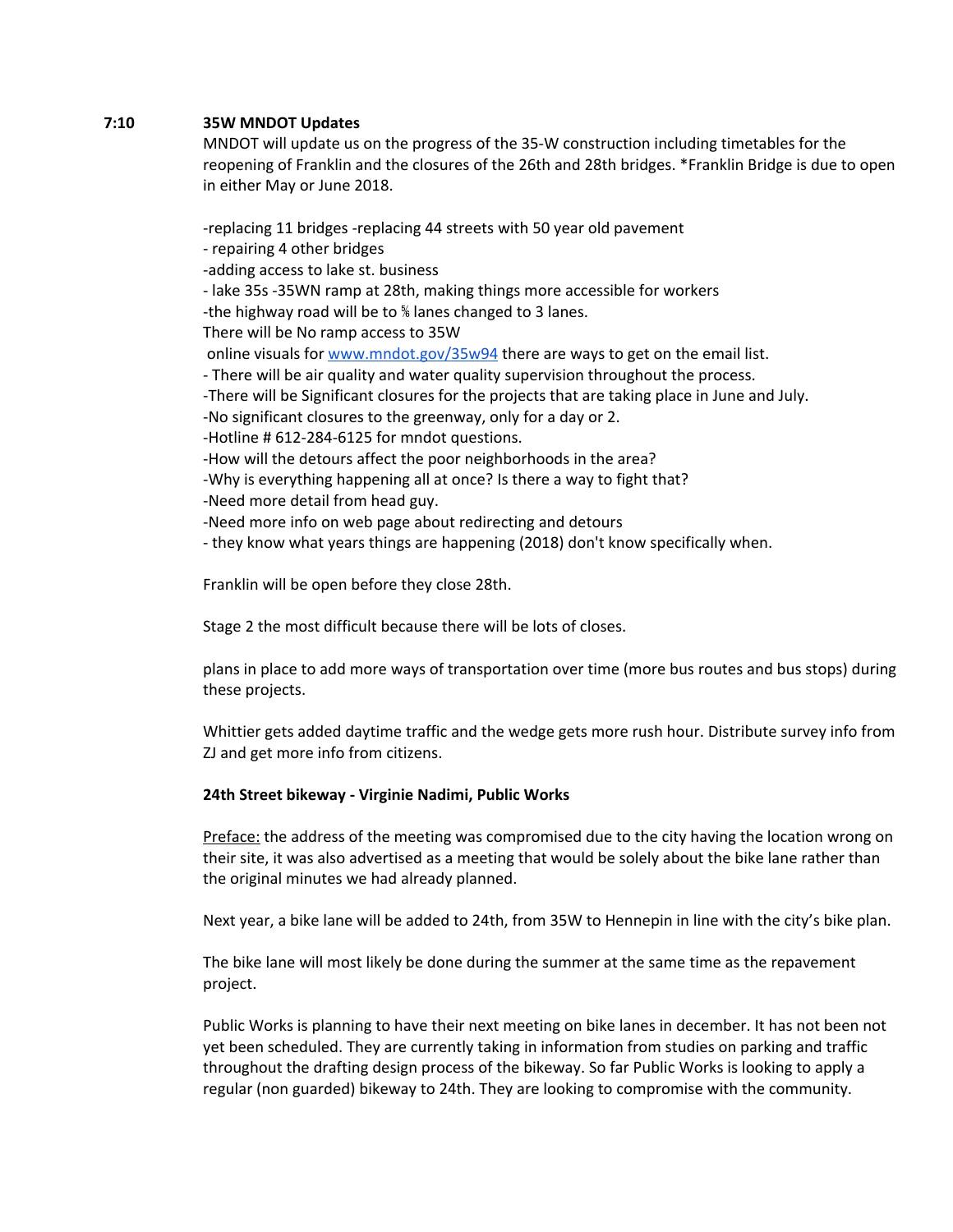#### **7:10 35W MNDOT Updates**

MNDOT will update us on the progress of the 35-W construction including timetables for the reopening of Franklin and the closures of the 26th and 28th bridges. \*Franklin Bridge is due to open in either May or June 2018.

-replacing 11 bridges -replacing 44 streets with 50 year old pavement - repairing 4 other bridges

-adding access to lake st. business

- lake 35s -35WN ramp at 28th, making things more accessible for workers

-the highway road will be to ⅚ lanes changed to 3 lanes.

There will be No ramp access to 35W

online visuals for [www.mndot.gov/35w94](http://www.mndot.gov/35w94) there are ways to get on the email list.

- There will be air quality and water quality supervision throughout the process.

-There will be Significant closures for the projects that are taking place in June and July.

-No significant closures to the greenway, only for a day or 2.

-Hotline # 612-284-6125 for mndot questions.

-How will the detours affect the poor neighborhoods in the area?

-Why is everything happening all at once? Is there a way to fight that?

-Need more detail from head guy.

-Need more info on web page about redirecting and detours

- they know what years things are happening (2018) don't know specifically when.

Franklin will be open before they close 28th.

Stage 2 the most difficult because there will be lots of closes.

plans in place to add more ways of transportation over time (more bus routes and bus stops) during these projects.

Whittier gets added daytime traffic and the wedge gets more rush hour. Distribute survey info from ZJ and get more info from citizens.

## **24th Street bikeway - Virginie Nadimi, Public Works**

Preface: the address of the meeting was compromised due to the city having the location wrong on their site, it was also advertised as a meeting that would be solely about the bike lane rather than the original minutes we had already planned.

Next year, a bike lane will be added to 24th, from 35W to Hennepin in line with the city's bike plan.

The bike lane will most likely be done during the summer at the same time as the repavement project.

Public Works is planning to have their next meeting on bike lanes in december. It has not been not yet been scheduled. They are currently taking in information from studies on parking and traffic throughout the drafting design process of the bikeway. So far Public Works is looking to apply a regular (non guarded) bikeway to 24th. They are looking to compromise with the community.